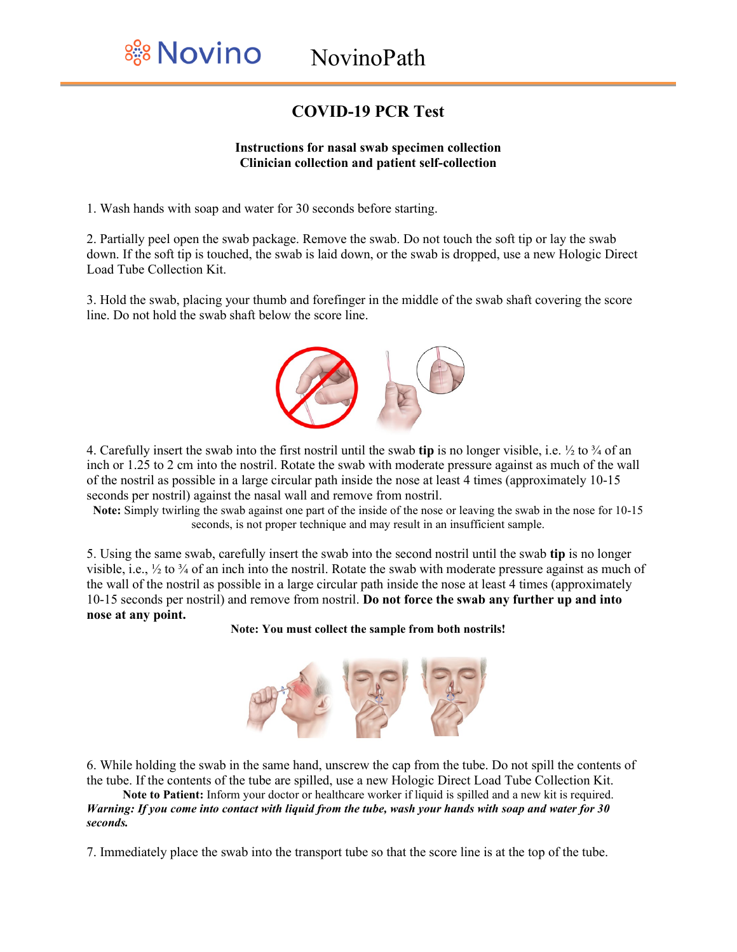## **COVID-19 PCR Test**

## **Instructions for nasal swab specimen collection Clinician collection and patient self-collection**

1. Wash hands with soap and water for 30 seconds before starting.

2. Partially peel open the swab package. Remove the swab. Do not touch the soft tip or lay the swab down. If the soft tip is touched, the swab is laid down, or the swab is dropped, use a new Hologic Direct Load Tube Collection Kit.

3. Hold the swab, placing your thumb and forefinger in the middle of the swab shaft covering the score line. Do not hold the swab shaft below the score line.



4. Carefully insert the swab into the first nostril until the swab **tip** is no longer visible, i.e. ½ to ¾ of an inch or 1.25 to 2 cm into the nostril. Rotate the swab with moderate pressure against as much of the wall of the nostril as possible in a large circular path inside the nose at least 4 times (approximately 10-15 seconds per nostril) against the nasal wall and remove from nostril.

**Note:** Simply twirling the swab against one part of the inside of the nose or leaving the swab in the nose for 10-15 seconds, is not proper technique and may result in an insufficient sample.

5. Using the same swab, carefully insert the swab into the second nostril until the swab **tip** is no longer visible, i.e.,  $\frac{1}{2}$  to  $\frac{3}{4}$  of an inch into the nostril. Rotate the swab with moderate pressure against as much of the wall of the nostril as possible in a large circular path inside the nose at least 4 times (approximately 10-15 seconds per nostril) and remove from nostril. **Do not force the swab any further up and into nose at any point.**

**Note: You must collect the sample from both nostrils!**



6. While holding the swab in the same hand, unscrew the cap from the tube. Do not spill the contents of the tube. If the contents of the tube are spilled, use a new Hologic Direct Load Tube Collection Kit.

**Note to Patient:** Inform your doctor or healthcare worker if liquid is spilled and a new kit is required. *Warning: If you come into contact with liquid from the tube, wash your hands with soap and water for 30 seconds.*

7. Immediately place the swab into the transport tube so that the score line is at the top of the tube.